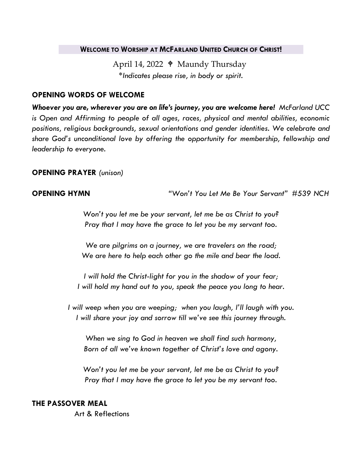#### **WELCOME TO WORSHIP AT MCFARLAND UNITED CHURCH OF CHRIST!**

April 14, 2022 ♦ Maundy Thursday *\*Indicates please rise, in body or spirit.*

### **OPENING WORDS OF WELCOME**

*Whoever you are, wherever you are on life's journey, you are welcome here! McFarland UCC is Open and Affirming to people of all ages, races, physical and mental abilities, economic positions, religious backgrounds, sexual orientations and gender identities. We celebrate and share God's unconditional love by offering the opportunity for membership, fellowship and leadership to everyone.*

## **OPENING PRAYER** *(unison)*

**OPENING HYMN** *"Won't You Let Me Be Your Servant" #539 NCH*

*Won't you let me be your servant, let me be as Christ to you? Pray that I may have the grace to let you be my servant too.*

*We are pilgrims on a journey, we are travelers on the road; We are here to help each other go the mile and bear the load.*

*I will hold the Christ-light for you in the shadow of your fear; I will hold my hand out to you, speak the peace you long to hear.*

*I will weep when you are weeping; when you laugh, I'll laugh with you. I will share your joy and sorrow till we've see this journey through.*

*When we sing to God in heaven we shall find such harmony, Born of all we've known together of Christ's love and agony.*

*Won't you let me be your servant, let me be as Christ to you? Pray that I may have the grace to let you be my servant too.*

#### **THE PASSOVER MEAL**

Art & Reflections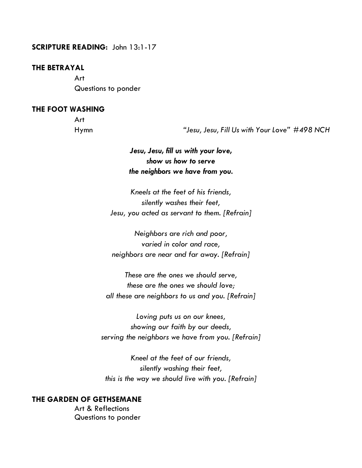#### **SCRIPTURE READING:** John 13:1-17

#### **THE BETRAYAL**

Art Questions to ponder

### **THE FOOT WASHING**

Art

Hymn *"Jesu, Jesu, Fill Us with Your Love" #498 NCH*

# *Jesu, Jesu, fill us with your love, show us how to serve the neighbors we have from you.*

*Kneels at the feet of his friends, silently washes their feet, Jesu, you acted as servant to them. [Refrain]*

*Neighbors are rich and poor, varied in color and race, neighbors are near and far away. [Refrain]*

*These are the ones we should serve, these are the ones we should love; all these are neighbors to us and you. [Refrain]*

*Loving puts us on our knees, showing our faith by our deeds, serving the neighbors we have from you. [Refrain]*

*Kneel at the feet of our friends, silently washing their feet, this is the way we should live with you. [Refrain]*

#### **THE GARDEN OF GETHSEMANE**

Art & Reflections Questions to ponder